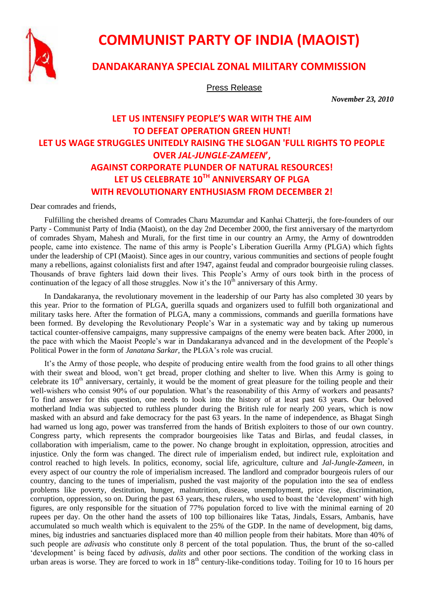

# **COMMUNIST PARTY OF INDIA (MAOIST)**

### **DANDAKARANYA SPECIAL ZONAL MILITARY COMMISSION**

Press Release

 *November 23, 2010*

## **LET US INTENSIFY PEOPLE'S WAR WITH THE AIM TO DEFEAT OPERATION GREEN HUNT! LET US WAGE STRUGGLES UNITEDLY RAISING THE SLOGAN 'FULL RIGHTS TO PEOPLE OVER** *JAL-JUNGLE-ZAMEEN***', AGAINST CORPORATE PLUNDER OF NATURAL RESOURCES! LET US CELEBRATE 10TH ANNIVERSARY OF PLGA WITH REVOLUTIONARY ENTHUSIASM FROM DECEMBER 2!**

Dear comrades and friends,

Fulfilling the cherished dreams of Comrades Charu Mazumdar and Kanhai Chatterji, the fore-founders of our Party - Communist Party of India (Maoist), on the day 2nd December 2000, the first anniversary of the martyrdom of comrades Shyam, Mahesh and Murali, for the first time in our country an Army, the Army of downtrodden people, came into existence. The name of this army is People's Liberation Guerilla Army (PLGA) which fights under the leadership of CPI (Maoist). Since ages in our country, various communities and sections of people fought many a rebellions, against colonialists first and after 1947, against feudal and comprador bourgeoisie ruling classes. Thousands of brave fighters laid down their lives. This People's Army of ours took birth in the process of continuation of the legacy of all those struggles. Now it's the  $10<sup>th</sup>$  anniversary of this Army.

In Dandakaranya, the revolutionary movement in the leadership of our Party has also completed 30 years by this year. Prior to the formation of PLGA, guerilla squads and organizers used to fulfill both organizational and military tasks here. After the formation of PLGA, many a commissions, commands and guerilla formations have been formed. By developing the Revolutionary People's War in a systematic way and by taking up numerous tactical counter-offensive campaigns, many suppressive campaigns of the enemy were beaten back. After 2000, in the pace with which the Maoist People's war in Dandakaranya advanced and in the development of the People's Political Power in the form of *Janatana Sarkar,* the PLGA's role was crucial.

It's the Army of those people, who despite of producing entire wealth from the food grains to all other things with their sweat and blood, won't get bread, proper clothing and shelter to live. When this Army is going to celebrate its  $10<sup>th</sup>$  anniversary, certainly, it would be the moment of great pleasure for the toiling people and their well-wishers who consist 90% of our population. What's the reasonability of this Army of workers and peasants? To find answer for this question, one needs to look into the history of at least past 63 years. Our beloved motherland India was subjected to ruthless plunder during the British rule for nearly 200 years, which is now masked with an absurd and fake democracy for the past 63 years. In the name of independence, as Bhagat Singh had warned us long ago, power was transferred from the hands of British exploiters to those of our own country. Congress party, which represents the comprador bourgeoisies like Tatas and Birlas, and feudal classes, in collaboration with imperialism, came to the power. No change brought in exploitation, oppression, atrocities and injustice. Only the form was changed. The direct rule of imperialism ended, but indirect rule, exploitation and control reached to high levels. In politics, economy, social life, agriculture, culture and *Jal-Jungle-Zameen*, in every aspect of our country the role of imperialism increased. The landlord and comprador bourgeois rulers of our country, dancing to the tunes of imperialism, pushed the vast majority of the population into the sea of endless problems like poverty, destitution, hunger, malnutrition, disease, unemployment, price rise, discrimination, corruption, oppression, so on. During the past 63 years, these rulers, who used to boast the 'development' with high figures, are only responsible for the situation of 77% population forced to live with the minimal earning of 20 rupees per day. On the other hand the assets of 100 top billionaires like Tatas, Jindals, Essars, Ambanis, have accumulated so much wealth which is equivalent to the 25% of the GDP. In the name of development, big dams, mines, big industries and sanctuaries displaced more than 40 million people from their habitats. More than 40% of such people are *adivasis* who constitute only 8 percent of the total population. Thus, the brunt of the so-called 'development' is being faced by *adivasis, dalits* and other poor sections. The condition of the working class in urban areas is worse. They are forced to work in  $18<sup>th</sup>$  century-like-conditions today. Toiling for 10 to 16 hours per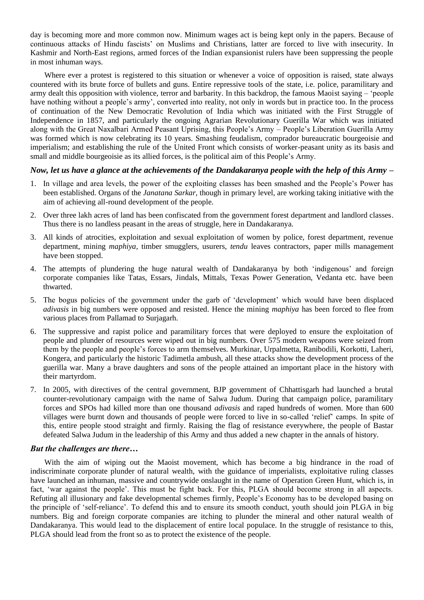day is becoming more and more common now. Minimum wages act is being kept only in the papers. Because of continuous attacks of Hindu fascists' on Muslims and Christians, latter are forced to live with insecurity. In Kashmir and North-East regions, armed forces of the Indian expansionist rulers have been suppressing the people in most inhuman ways.

Where ever a protest is registered to this situation or whenever a voice of opposition is raised, state always countered with its brute force of bullets and guns. Entire repressive tools of the state, i.e. police, paramilitary and army dealt this opposition with violence, terror and barbarity. In this backdrop, the famous Maoist saying – 'people have nothing without a people's army', converted into reality, not only in words but in practice too. In the process of continuation of the New Democratic Revolution of India which was initiated with the First Struggle of Independence in 1857, and particularly the ongoing Agrarian Revolutionary Guerilla War which was initiated along with the Great Naxalbari Armed Peasant Uprising, this People's Army – People's Liberation Guerilla Army was formed which is now celebrating its 10 years. Smashing feudalism, comprador bureaucratic bourgeoisie and imperialism; and establishing the rule of the United Front which consists of worker-peasant unity as its basis and small and middle bourgeoisie as its allied forces, is the political aim of this People's Army.

#### *Now, let us have a glance at the achievements of the Dandakaranya people with the help of this Army –*

- 1. In village and area levels, the power of the exploiting classes has been smashed and the People's Power has been established. Organs of the *Janatana Sarkar,* though in primary level, are working taking initiative with the aim of achieving all-round development of the people.
- 2. Over three lakh acres of land has been confiscated from the government forest department and landlord classes. Thus there is no landless peasant in the areas of struggle, here in Dandakaranya.
- 3. All kinds of atrocities, exploitation and sexual exploitation of women by police, forest department, revenue department, mining *maphiya,* timber smugglers, usurers, *tendu* leaves contractors, paper mills management have been stopped.
- 4. The attempts of plundering the huge natural wealth of Dandakaranya by both 'indigenous' and foreign corporate companies like Tatas, Essars, Jindals, Mittals, Texas Power Generation, Vedanta etc. have been thwarted.
- 5. The bogus policies of the government under the garb of 'development' which would have been displaced *adivasis* in big numbers were opposed and resisted. Hence the mining *maphiya* has been forced to flee from various places from Pallamad to Surjagarh.
- 6. The suppressive and rapist police and paramilitary forces that were deployed to ensure the exploitation of people and plunder of resources were wiped out in big numbers. Over 575 modern weapons were seized from them by the people and people's forces to arm themselves. Murkinar, Urpalmetta, Ranibodili, Korkotti, Laheri, Kongera, and particularly the historic Tadimetla ambush, all these attacks show the development process of the guerilla war. Many a brave daughters and sons of the people attained an important place in the history with their martyrdom.
- 7. In 2005, with directives of the central government, BJP government of Chhattisgarh had launched a brutal counter-revolutionary campaign with the name of Salwa Judum. During that campaign police, paramilitary forces and SPOs had killed more than one thousand *adivasis* and raped hundreds of women. More than 600 villages were burnt down and thousands of people were forced to live in so-called 'relief' camps. In spite of this, entire people stood straight and firmly. Raising the flag of resistance everywhere, the people of Bastar defeated Salwa Judum in the leadership of this Army and thus added a new chapter in the annals of history.

#### *But the challenges are there…*

With the aim of wiping out the Maoist movement, which has become a big hindrance in the road of indiscriminate corporate plunder of natural wealth, with the guidance of imperialists, exploitative ruling classes have launched an inhuman, massive and countrywide onslaught in the name of Operation Green Hunt, which is, in fact, 'war against the people'. This must be fight back. For this, PLGA should become strong in all aspects. Refuting all illusionary and fake developmental schemes firmly, People's Economy has to be developed basing on the principle of 'self-reliance'. To defend this and to ensure its smooth conduct, youth should join PLGA in big numbers. Big and foreign corporate companies are itching to plunder the mineral and other natural wealth of Dandakaranya. This would lead to the displacement of entire local populace. In the struggle of resistance to this, PLGA should lead from the front so as to protect the existence of the people.